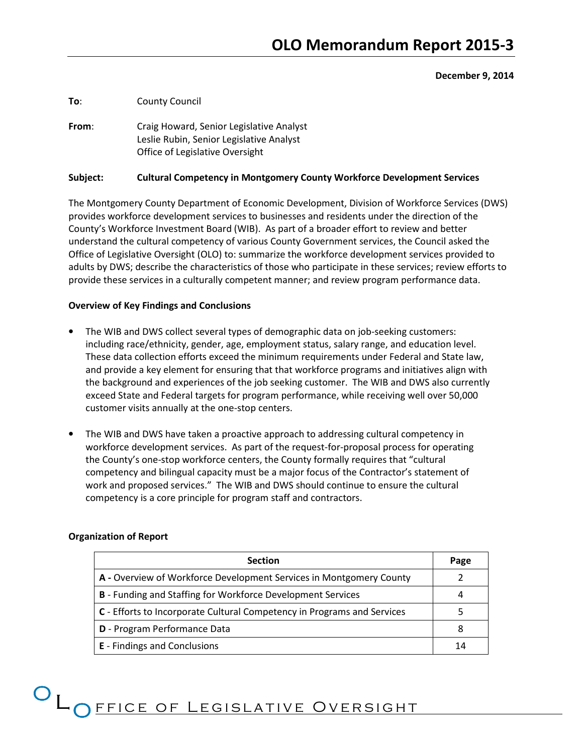#### December 9, 2014

To: County Council

From: Craig Howard, Senior Legislative Analyst Leslie Rubin, Senior Legislative Analyst Office of Legislative Oversight

#### Subject: Cultural Competency in Montgomery County Workforce Development Services

The Montgomery County Department of Economic Development, Division of Workforce Services (DWS) provides workforce development services to businesses and residents under the direction of the County's Workforce Investment Board (WIB). As part of a broader effort to review and better understand the cultural competency of various County Government services, the Council asked the Office of Legislative Oversight (OLO) to: summarize the workforce development services provided to adults by DWS; describe the characteristics of those who participate in these services; review efforts to provide these services in a culturally competent manner; and review program performance data.

#### Overview of Key Findings and Conclusions

- The WIB and DWS collect several types of demographic data on job-seeking customers: including race/ethnicity, gender, age, employment status, salary range, and education level. These data collection efforts exceed the minimum requirements under Federal and State law, and provide a key element for ensuring that that workforce programs and initiatives align with the background and experiences of the job seeking customer. The WIB and DWS also currently exceed State and Federal targets for program performance, while receiving well over 50,000 customer visits annually at the one-stop centers.
- The WIB and DWS have taken a proactive approach to addressing cultural competency in workforce development services. As part of the request-for-proposal process for operating the County's one-stop workforce centers, the County formally requires that "cultural competency and bilingual capacity must be a major focus of the Contractor's statement of work and proposed services." The WIB and DWS should continue to ensure the cultural competency is a core principle for program staff and contractors.

| <b>Section</b>                                                          | Page |
|-------------------------------------------------------------------------|------|
| A - Overview of Workforce Development Services in Montgomery County     |      |
| <b>B</b> - Funding and Staffing for Workforce Development Services      |      |
| C - Efforts to Incorporate Cultural Competency in Programs and Services |      |
| D - Program Performance Data                                            |      |
| <b>E</b> - Findings and Conclusions                                     |      |

#### Organization of Report

# O LO FFICE OF LEGISLATIVE OVERSIGHT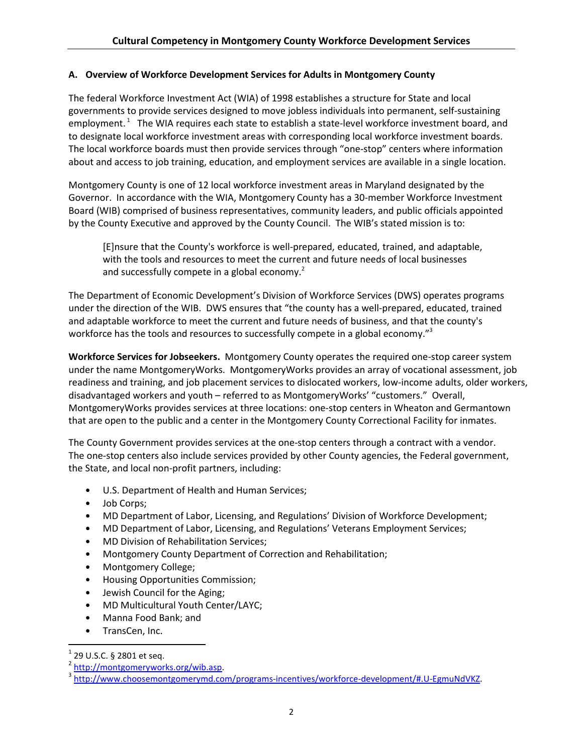# A. Overview of Workforce Development Services for Adults in Montgomery County

The federal Workforce Investment Act (WIA) of 1998 establishes a structure for State and local governments to provide services designed to move jobless individuals into permanent, self-sustaining employment.<sup>1</sup> The WIA requires each state to establish a state-level workforce investment board, and to designate local workforce investment areas with corresponding local workforce investment boards. The local workforce boards must then provide services through "one-stop" centers where information about and access to job training, education, and employment services are available in a single location.

Montgomery County is one of 12 local workforce investment areas in Maryland designated by the Governor. In accordance with the WIA, Montgomery County has a 30-member Workforce Investment Board (WIB) comprised of business representatives, community leaders, and public officials appointed by the County Executive and approved by the County Council. The WIB's stated mission is to:

[E]nsure that the County's workforce is well-prepared, educated, trained, and adaptable, with the tools and resources to meet the current and future needs of local businesses and successfully compete in a global economy.<sup>2</sup>

The Department of Economic Development's Division of Workforce Services (DWS) operates programs under the direction of the WIB. DWS ensures that "the county has a well-prepared, educated, trained and adaptable workforce to meet the current and future needs of business, and that the county's workforce has the tools and resources to successfully compete in a global economy."<sup>3</sup>

Workforce Services for Jobseekers. Montgomery County operates the required one-stop career system under the name MontgomeryWorks. MontgomeryWorks provides an array of vocational assessment, job readiness and training, and job placement services to dislocated workers, low-income adults, older workers, disadvantaged workers and youth – referred to as MontgomeryWorks' "customers." Overall, MontgomeryWorks provides services at three locations: one-stop centers in Wheaton and Germantown that are open to the public and a center in the Montgomery County Correctional Facility for inmates.

The County Government provides services at the one-stop centers through a contract with a vendor. The one-stop centers also include services provided by other County agencies, the Federal government, the State, and local non-profit partners, including:

- U.S. Department of Health and Human Services;
- Job Corps;
- MD Department of Labor, Licensing, and Regulations' Division of Workforce Development;
- MD Department of Labor, Licensing, and Regulations' Veterans Employment Services;
- MD Division of Rehabilitation Services;
- Montgomery County Department of Correction and Rehabilitation;
- Montgomery College;
- Housing Opportunities Commission;
- Jewish Council for the Aging;
- MD Multicultural Youth Center/LAYC;
- Manna Food Bank; and
- TransCen, Inc.

 $\overline{a}$ 

 $1$  29 U.S.C. § 2801 et seq.

<sup>&</sup>lt;sup>2</sup> http://montgomeryworks.org/wib.asp.

<sup>&</sup>lt;sup>3</sup> http://www.choosemontgomerymd.com/programs-incentives/workforce-development/#.U-EgmuNdVKZ.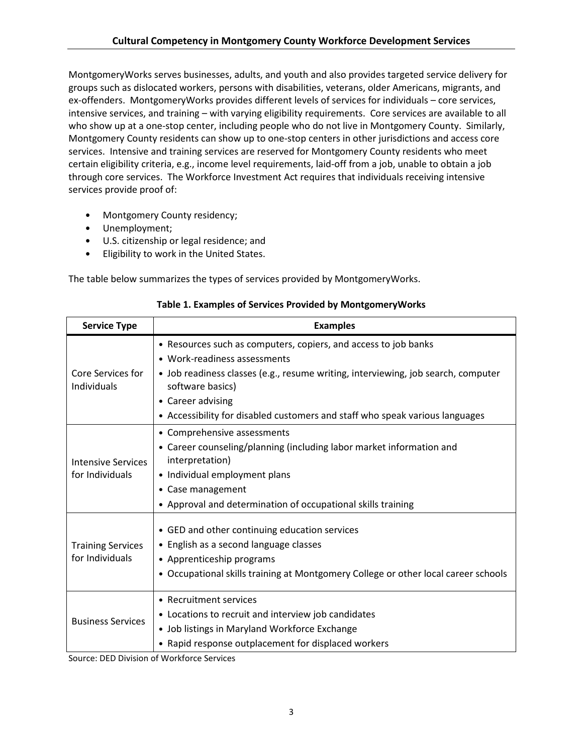MontgomeryWorks serves businesses, adults, and youth and also provides targeted service delivery for groups such as dislocated workers, persons with disabilities, veterans, older Americans, migrants, and ex-offenders. MontgomeryWorks provides different levels of services for individuals – core services, intensive services, and training – with varying eligibility requirements. Core services are available to all who show up at a one-stop center, including people who do not live in Montgomery County. Similarly, Montgomery County residents can show up to one-stop centers in other jurisdictions and access core services. Intensive and training services are reserved for Montgomery County residents who meet certain eligibility criteria, e.g., income level requirements, laid-off from a job, unable to obtain a job through core services. The Workforce Investment Act requires that individuals receiving intensive services provide proof of:

- Montgomery County residency;
- Unemployment;
- U.S. citizenship or legal residence; and
- Eligibility to work in the United States.

The table below summarizes the types of services provided by MontgomeryWorks.

| <b>Service Type</b>                          | <b>Examples</b>                                                                                                                                                                                                                                                                                               |
|----------------------------------------------|---------------------------------------------------------------------------------------------------------------------------------------------------------------------------------------------------------------------------------------------------------------------------------------------------------------|
| Core Services for<br>Individuals             | • Resources such as computers, copiers, and access to job banks<br>• Work-readiness assessments<br>• Job readiness classes (e.g., resume writing, interviewing, job search, computer<br>software basics)<br>• Career advising<br>• Accessibility for disabled customers and staff who speak various languages |
| <b>Intensive Services</b><br>for Individuals | • Comprehensive assessments<br>• Career counseling/planning (including labor market information and<br>interpretation)<br>• Individual employment plans<br>• Case management<br>• Approval and determination of occupational skills training                                                                  |
| <b>Training Services</b><br>for Individuals  | • GED and other continuing education services<br>• English as a second language classes<br>• Apprenticeship programs<br>• Occupational skills training at Montgomery College or other local career schools                                                                                                    |
| <b>Business Services</b>                     | • Recruitment services<br>• Locations to recruit and interview job candidates<br>• Job listings in Maryland Workforce Exchange<br>• Rapid response outplacement for displaced workers                                                                                                                         |

# Table 1. Examples of Services Provided by MontgomeryWorks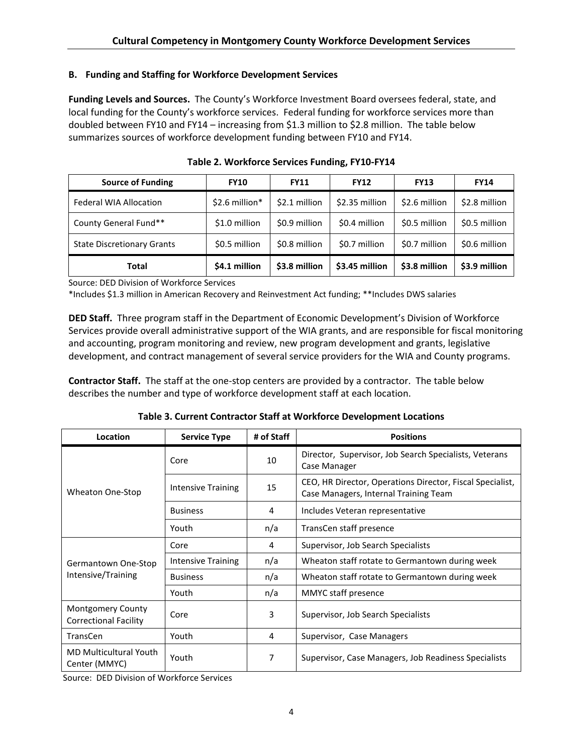## B. Funding and Staffing for Workforce Development Services

Funding Levels and Sources. The County's Workforce Investment Board oversees federal, state, and local funding for the County's workforce services. Federal funding for workforce services more than doubled between FY10 and FY14 – increasing from \$1.3 million to \$2.8 million. The table below summarizes sources of workforce development funding between FY10 and FY14.

| <b>Source of Funding</b>          | <b>FY10</b>     | <b>FY11</b>   | <b>FY12</b>    | <b>FY13</b>   | <b>FY14</b>   |
|-----------------------------------|-----------------|---------------|----------------|---------------|---------------|
| <b>Federal WIA Allocation</b>     | $$2.6$ million* | \$2.1 million | \$2.35 million | \$2.6 million | \$2.8 million |
| County General Fund**             | \$1.0 million   | \$0.9 million | \$0.4 million  | \$0.5 million | \$0.5 million |
| <b>State Discretionary Grants</b> | \$0.5 million   | \$0.8 million | \$0.7 million  | \$0.7 million | \$0.6 million |
| Total                             | \$4.1 million   | \$3.8 million | \$3.45 million | \$3.8 million | \$3.9 million |

Table 2. Workforce Services Funding, FY10-FY14

Source: DED Division of Workforce Services

\*Includes \$1.3 million in American Recovery and Reinvestment Act funding; \*\*Includes DWS salaries

DED Staff. Three program staff in the Department of Economic Development's Division of Workforce Services provide overall administrative support of the WIA grants, and are responsible for fiscal monitoring and accounting, program monitoring and review, new program development and grants, legislative development, and contract management of several service providers for the WIA and County programs.

Contractor Staff. The staff at the one-stop centers are provided by a contractor. The table below describes the number and type of workforce development staff at each location.

Table 3. Current Contractor Staff at Workforce Development Locations

| Location                                                 | <b>Service Type</b> | # of Staff | <b>Positions</b>                                                                                   |
|----------------------------------------------------------|---------------------|------------|----------------------------------------------------------------------------------------------------|
|                                                          | Core                | 10         | Director, Supervisor, Job Search Specialists, Veterans<br>Case Manager                             |
| Wheaton One-Stop                                         | Intensive Training  | 15         | CEO, HR Director, Operations Director, Fiscal Specialist,<br>Case Managers, Internal Training Team |
|                                                          | <b>Business</b>     | 4          | Includes Veteran representative                                                                    |
|                                                          | Youth               | n/a        | TransCen staff presence                                                                            |
|                                                          | Core                | 4          | Supervisor, Job Search Specialists                                                                 |
| Germantown One-Stop                                      | Intensive Training  | n/a        | Wheaton staff rotate to Germantown during week                                                     |
| Intensive/Training                                       | <b>Business</b>     | n/a        | Wheaton staff rotate to Germantown during week                                                     |
|                                                          | Youth               | n/a        | MMYC staff presence                                                                                |
| <b>Montgomery County</b><br><b>Correctional Facility</b> | Core                | 3          | Supervisor, Job Search Specialists                                                                 |
| <b>TransCen</b>                                          | Youth               | 4          | Supervisor, Case Managers                                                                          |
| <b>MD Multicultural Youth</b><br>Center (MMYC)           | Youth               | 7          | Supervisor, Case Managers, Job Readiness Specialists                                               |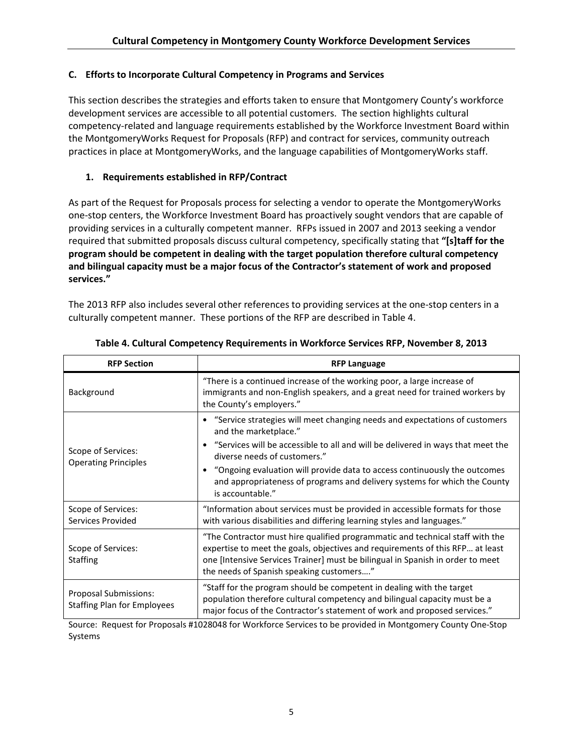# C. Efforts to Incorporate Cultural Competency in Programs and Services

This section describes the strategies and efforts taken to ensure that Montgomery County's workforce development services are accessible to all potential customers. The section highlights cultural competency-related and language requirements established by the Workforce Investment Board within the MontgomeryWorks Request for Proposals (RFP) and contract for services, community outreach practices in place at MontgomeryWorks, and the language capabilities of MontgomeryWorks staff.

# 1. Requirements established in RFP/Contract

As part of the Request for Proposals process for selecting a vendor to operate the MontgomeryWorks one-stop centers, the Workforce Investment Board has proactively sought vendors that are capable of providing services in a culturally competent manner. RFPs issued in 2007 and 2013 seeking a vendor required that submitted proposals discuss cultural competency, specifically stating that "[s]taff for the program should be competent in dealing with the target population therefore cultural competency and bilingual capacity must be a major focus of the Contractor's statement of work and proposed services."

The 2013 RFP also includes several other references to providing services at the one-stop centers in a culturally competent manner. These portions of the RFP are described in Table 4.

| <b>RFP Section</b>                                          | <b>RFP Language</b>                                                                                                                                                                                                                                                                                                                                                                                    |
|-------------------------------------------------------------|--------------------------------------------------------------------------------------------------------------------------------------------------------------------------------------------------------------------------------------------------------------------------------------------------------------------------------------------------------------------------------------------------------|
| Background                                                  | "There is a continued increase of the working poor, a large increase of<br>immigrants and non-English speakers, and a great need for trained workers by<br>the County's employers."                                                                                                                                                                                                                    |
| Scope of Services:<br><b>Operating Principles</b>           | • "Service strategies will meet changing needs and expectations of customers<br>and the marketplace."<br>"Services will be accessible to all and will be delivered in ways that meet the<br>diverse needs of customers."<br>"Ongoing evaluation will provide data to access continuously the outcomes<br>and appropriateness of programs and delivery systems for which the County<br>is accountable." |
| Scope of Services:<br>Services Provided                     | "Information about services must be provided in accessible formats for those<br>with various disabilities and differing learning styles and languages."                                                                                                                                                                                                                                                |
| Scope of Services:<br><b>Staffing</b>                       | "The Contractor must hire qualified programmatic and technical staff with the<br>expertise to meet the goals, objectives and requirements of this RFP at least<br>one [Intensive Services Trainer] must be bilingual in Spanish in order to meet<br>the needs of Spanish speaking customers"                                                                                                           |
| Proposal Submissions:<br><b>Staffing Plan for Employees</b> | "Staff for the program should be competent in dealing with the target<br>population therefore cultural competency and bilingual capacity must be a<br>major focus of the Contractor's statement of work and proposed services."                                                                                                                                                                        |

## Table 4. Cultural Competency Requirements in Workforce Services RFP, November 8, 2013

Source: Request for Proposals #1028048 for Workforce Services to be provided in Montgomery County One-Stop Systems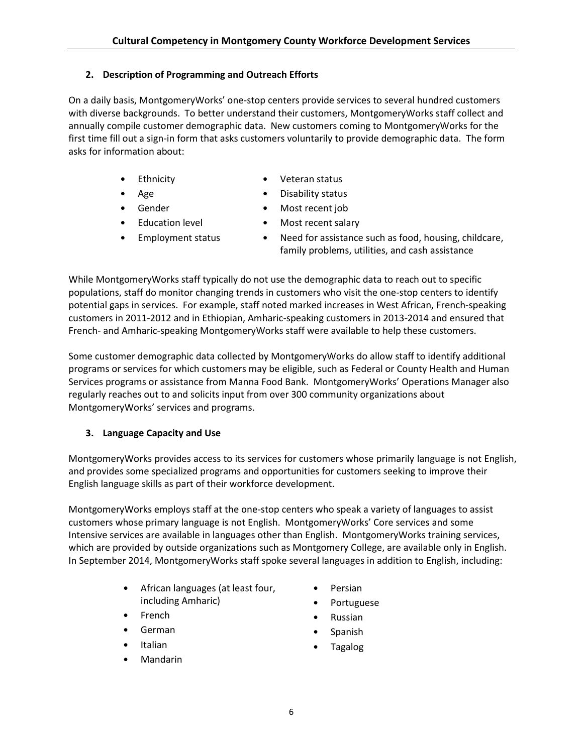# 2. Description of Programming and Outreach Efforts

On a daily basis, MontgomeryWorks' one-stop centers provide services to several hundred customers with diverse backgrounds. To better understand their customers, MontgomeryWorks staff collect and annually compile customer demographic data. New customers coming to MontgomeryWorks for the first time fill out a sign-in form that asks customers voluntarily to provide demographic data. The form asks for information about:

- **Ethnicity**
- Age
- Gender
- Education level
- Employment status
- Veteran status
- Disability status
- Most recent job
- Most recent salary
- Need for assistance such as food, housing, childcare, family problems, utilities, and cash assistance

While MontgomeryWorks staff typically do not use the demographic data to reach out to specific populations, staff do monitor changing trends in customers who visit the one-stop centers to identify potential gaps in services. For example, staff noted marked increases in West African, French-speaking customers in 2011-2012 and in Ethiopian, Amharic-speaking customers in 2013-2014 and ensured that French- and Amharic-speaking MontgomeryWorks staff were available to help these customers.

Some customer demographic data collected by MontgomeryWorks do allow staff to identify additional programs or services for which customers may be eligible, such as Federal or County Health and Human Services programs or assistance from Manna Food Bank. MontgomeryWorks' Operations Manager also regularly reaches out to and solicits input from over 300 community organizations about MontgomeryWorks' services and programs.

# 3. Language Capacity and Use

MontgomeryWorks provides access to its services for customers whose primarily language is not English, and provides some specialized programs and opportunities for customers seeking to improve their English language skills as part of their workforce development.

MontgomeryWorks employs staff at the one-stop centers who speak a variety of languages to assist customers whose primary language is not English. MontgomeryWorks' Core services and some Intensive services are available in languages other than English. MontgomeryWorks training services, which are provided by outside organizations such as Montgomery College, are available only in English. In September 2014, MontgomeryWorks staff spoke several languages in addition to English, including:

- African languages (at least four, including Amharic)
- **French**
- German
- Italian
- Mandarin
- Persian
- Portuguese
- Russian
- Spanish
- Tagalog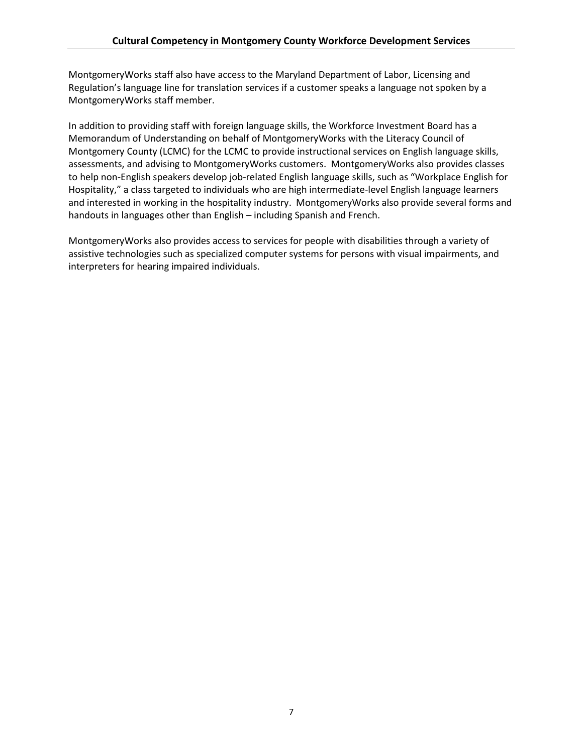MontgomeryWorks staff also have access to the Maryland Department of Labor, Licensing and Regulation's language line for translation services if a customer speaks a language not spoken by a MontgomeryWorks staff member.

In addition to providing staff with foreign language skills, the Workforce Investment Board has a Memorandum of Understanding on behalf of MontgomeryWorks with the Literacy Council of Montgomery County (LCMC) for the LCMC to provide instructional services on English language skills, assessments, and advising to MontgomeryWorks customers. MontgomeryWorks also provides classes to help non-English speakers develop job-related English language skills, such as "Workplace English for Hospitality," a class targeted to individuals who are high intermediate-level English language learners and interested in working in the hospitality industry. MontgomeryWorks also provide several forms and handouts in languages other than English – including Spanish and French.

MontgomeryWorks also provides access to services for people with disabilities through a variety of assistive technologies such as specialized computer systems for persons with visual impairments, and interpreters for hearing impaired individuals.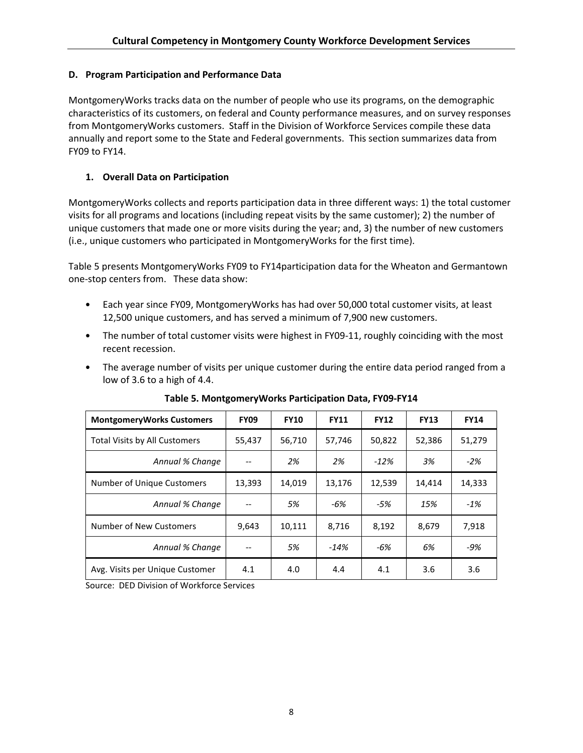## D. Program Participation and Performance Data

MontgomeryWorks tracks data on the number of people who use its programs, on the demographic characteristics of its customers, on federal and County performance measures, and on survey responses from MontgomeryWorks customers. Staff in the Division of Workforce Services compile these data annually and report some to the State and Federal governments. This section summarizes data from FY09 to FY14.

# 1. Overall Data on Participation

MontgomeryWorks collects and reports participation data in three different ways: 1) the total customer visits for all programs and locations (including repeat visits by the same customer); 2) the number of unique customers that made one or more visits during the year; and, 3) the number of new customers (i.e., unique customers who participated in MontgomeryWorks for the first time).

Table 5 presents MontgomeryWorks FY09 to FY14participation data for the Wheaton and Germantown one-stop centers from. These data show:

- Each year since FY09, MontgomeryWorks has had over 50,000 total customer visits, at least 12,500 unique customers, and has served a minimum of 7,900 new customers.
- The number of total customer visits were highest in FY09-11, roughly coinciding with the most recent recession.
- The average number of visits per unique customer during the entire data period ranged from a low of 3.6 to a high of 4.4.

| <b>MontgomeryWorks Customers</b>     | <b>FY09</b> | <b>FY10</b> | <b>FY11</b> | <b>FY12</b> | <b>FY13</b> | <b>FY14</b> |
|--------------------------------------|-------------|-------------|-------------|-------------|-------------|-------------|
| <b>Total Visits by All Customers</b> | 55,437      | 56,710      | 57,746      | 50,822      | 52,386      | 51,279      |
| Annual % Change                      |             | 2%          | 2%          | $-12%$      | 3%          | $-2%$       |
| Number of Unique Customers           | 13,393      | 14,019      | 13,176      | 12,539      | 14,414      | 14,333      |
| Annual % Change                      |             | 5%          | -6%         | -5%         | 15%         | $-1\%$      |
| Number of New Customers              | 9,643       | 10,111      | 8,716       | 8,192       | 8,679       | 7,918       |
| Annual % Change                      |             | 5%          | $-14%$      | -6%         | 6%          | -9%         |
| Avg. Visits per Unique Customer      | 4.1         | 4.0         | 4.4         | 4.1         | 3.6         | 3.6         |

Table 5. MontgomeryWorks Participation Data, FY09-FY14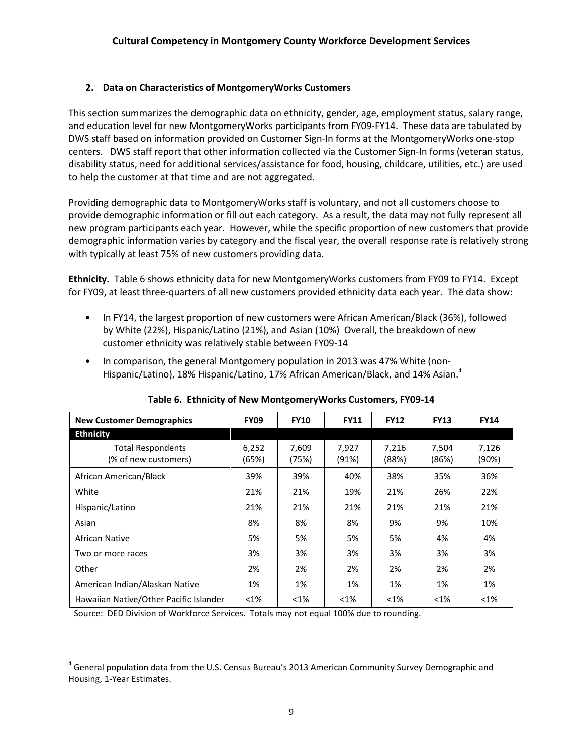# 2. Data on Characteristics of MontgomeryWorks Customers

This section summarizes the demographic data on ethnicity, gender, age, employment status, salary range, and education level for new MontgomeryWorks participants from FY09-FY14. These data are tabulated by DWS staff based on information provided on Customer Sign-In forms at the MontgomeryWorks one-stop centers. DWS staff report that other information collected via the Customer Sign-In forms (veteran status, disability status, need for additional services/assistance for food, housing, childcare, utilities, etc.) are used to help the customer at that time and are not aggregated.

Providing demographic data to MontgomeryWorks staff is voluntary, and not all customers choose to provide demographic information or fill out each category. As a result, the data may not fully represent all new program participants each year. However, while the specific proportion of new customers that provide demographic information varies by category and the fiscal year, the overall response rate is relatively strong with typically at least 75% of new customers providing data.

Ethnicity. Table 6 shows ethnicity data for new MontgomeryWorks customers from FY09 to FY14. Except for FY09, at least three-quarters of all new customers provided ethnicity data each year. The data show:

- In FY14, the largest proportion of new customers were African American/Black (36%), followed by White (22%), Hispanic/Latino (21%), and Asian (10%) Overall, the breakdown of new customer ethnicity was relatively stable between FY09-14
- In comparison, the general Montgomery population in 2013 was 47% White (non-Hispanic/Latino), 18% Hispanic/Latino, 17% African American/Black, and 14% Asian.<sup>4</sup>

| <b>New Customer Demographics</b>                 | <b>FY09</b>    | <b>FY10</b>    | <b>FY11</b>    | <b>FY12</b>    | <b>FY13</b>    | <b>FY14</b>    |
|--------------------------------------------------|----------------|----------------|----------------|----------------|----------------|----------------|
| <b>Ethnicity</b>                                 |                |                |                |                |                |                |
| <b>Total Respondents</b><br>(% of new customers) | 6,252<br>(65%) | 7,609<br>(75%) | 7,927<br>(91%) | 7,216<br>(88%) | 7,504<br>(86%) | 7,126<br>(90%) |
| African American/Black                           | 39%            | 39%            | 40%            | 38%            | 35%            | 36%            |
| White                                            | 21%            | 21%            | 19%            | 21%            | 26%            | 22%            |
| Hispanic/Latino                                  | 21%            | 21%            | 21%            | 21%            | 21%            | 21%            |
| Asian                                            | 8%             | 8%             | 8%             | 9%             | 9%             | 10%            |
| African Native                                   | 5%             | 5%             | 5%             | 5%             | 4%             | 4%             |
| Two or more races                                | 3%             | 3%             | 3%             | 3%             | 3%             | 3%             |
| Other                                            | 2%             | 2%             | 2%             | 2%             | 2%             | 2%             |
| American Indian/Alaskan Native                   | 1%             | 1%             | 1%             | 1%             | 1%             | 1%             |
| Hawaiian Native/Other Pacific Islander           | $< 1\%$        | $< 1\%$        | $< 1\%$        | $< 1\%$        | $< 1\%$        | $<$ 1%         |

# Table 6. Ethnicity of New MontgomeryWorks Customers, FY09-14

Source: DED Division of Workforce Services. Totals may not equal 100% due to rounding.

 $\overline{a}$ 

<sup>&</sup>lt;sup>4</sup> General population data from the U.S. Census Bureau's 2013 American Community Survey Demographic and Housing, 1-Year Estimates.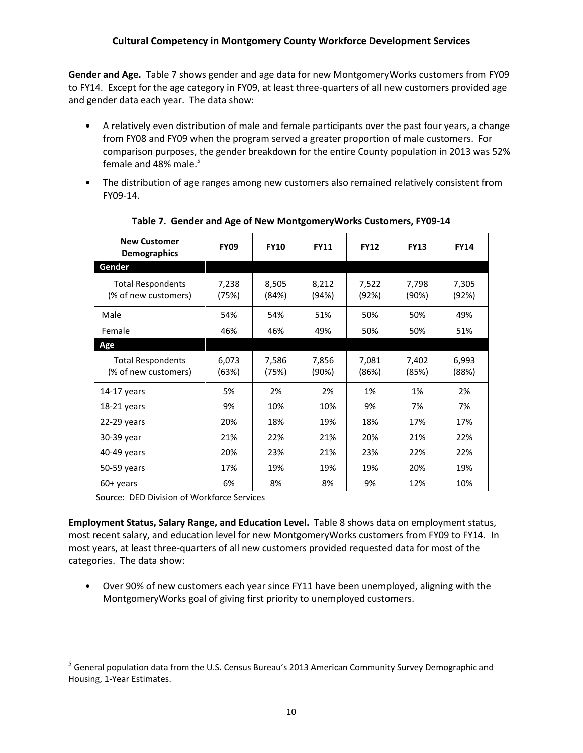Gender and Age. Table 7 shows gender and age data for new MontgomeryWorks customers from FY09 to FY14. Except for the age category in FY09, at least three-quarters of all new customers provided age and gender data each year. The data show:

- A relatively even distribution of male and female participants over the past four years, a change from FY08 and FY09 when the program served a greater proportion of male customers. For comparison purposes, the gender breakdown for the entire County population in 2013 was 52% female and  $48\%$  male.<sup>5</sup>
- The distribution of age ranges among new customers also remained relatively consistent from FY09-14.

| <b>New Customer</b><br><b>Demographics</b>       | <b>FY09</b>    | <b>FY10</b>    | <b>FY11</b>    | <b>FY12</b>    | <b>FY13</b>    | <b>FY14</b>    |
|--------------------------------------------------|----------------|----------------|----------------|----------------|----------------|----------------|
| Gender                                           |                |                |                |                |                |                |
| <b>Total Respondents</b><br>(% of new customers) | 7,238<br>(75%) | 8,505<br>(84%) | 8,212<br>(94%) | 7,522<br>(92%) | 7,798<br>(90%) | 7,305<br>(92%) |
| Male                                             | 54%            | 54%            | 51%            | 50%            | 50%            | 49%            |
| Female                                           | 46%            | 46%            | 49%            | 50%            | 50%            | 51%            |
| Age                                              |                |                |                |                |                |                |
| <b>Total Respondents</b><br>(% of new customers) | 6,073<br>(63%) | 7,586<br>(75%) | 7,856<br>(90%) | 7,081<br>(86%) | 7,402<br>(85%) | 6,993<br>(88%) |
| $14-17$ years                                    | 5%             | 2%             | 2%             | 1%             | 1%             | 2%             |
| $18-21$ years                                    | 9%             | 10%            | 10%            | 9%             | 7%             | 7%             |
| $22-29$ years                                    | 20%            | 18%            | 19%            | 18%            | 17%            | 17%            |
| 30-39 year                                       | 21%            | 22%            | 21%            | 20%            | 21%            | 22%            |
| 40-49 years                                      | 20%            | 23%            | 21%            | 23%            | 22%            | 22%            |
| 50-59 years                                      | 17%            | 19%            | 19%            | 19%            | 20%            | 19%            |
| $60+$ years                                      | 6%             | 8%             | 8%             | 9%             | 12%            | 10%            |

Table 7. Gender and Age of New MontgomeryWorks Customers, FY09-14

Source: DED Division of Workforce Services

 $\overline{a}$ 

Employment Status, Salary Range, and Education Level. Table 8 shows data on employment status, most recent salary, and education level for new MontgomeryWorks customers from FY09 to FY14. In most years, at least three-quarters of all new customers provided requested data for most of the categories. The data show:

• Over 90% of new customers each year since FY11 have been unemployed, aligning with the MontgomeryWorks goal of giving first priority to unemployed customers.

 $<sup>5</sup>$  General population data from the U.S. Census Bureau's 2013 American Community Survey Demographic and</sup> Housing, 1-Year Estimates.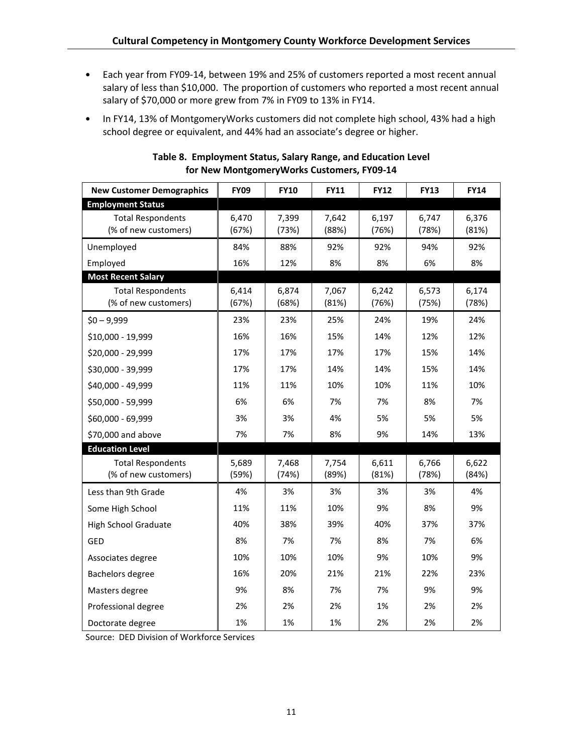- Each year from FY09-14, between 19% and 25% of customers reported a most recent annual salary of less than \$10,000. The proportion of customers who reported a most recent annual salary of \$70,000 or more grew from 7% in FY09 to 13% in FY14.
- In FY14, 13% of MontgomeryWorks customers did not complete high school, 43% had a high school degree or equivalent, and 44% had an associate's degree or higher.

| <b>New Customer Demographics</b>                 | <b>FY09</b>    | <b>FY10</b>    | <b>FY11</b>    | <b>FY12</b>    | <b>FY13</b>    | <b>FY14</b>    |
|--------------------------------------------------|----------------|----------------|----------------|----------------|----------------|----------------|
| <b>Employment Status</b>                         |                |                |                |                |                |                |
| <b>Total Respondents</b><br>(% of new customers) | 6,470<br>(67%) | 7,399<br>(73%) | 7,642<br>(88%) | 6,197<br>(76%) | 6,747<br>(78%) | 6,376<br>(81%) |
| Unemployed                                       | 84%            | 88%            | 92%            | 92%            | 94%            | 92%            |
| Employed                                         | 16%            | 12%            | 8%             | 8%             | 6%             | 8%             |
| <b>Most Recent Salary</b>                        |                |                |                |                |                |                |
| <b>Total Respondents</b><br>(% of new customers) | 6,414<br>(67%) | 6,874<br>(68%) | 7,067<br>(81%) | 6,242<br>(76%) | 6,573<br>(75%) | 6,174<br>(78%) |
| $$0 - 9,999$                                     | 23%            | 23%            | 25%            | 24%            | 19%            | 24%            |
| \$10,000 - 19,999                                | 16%            | 16%            | 15%            | 14%            | 12%            | 12%            |
| \$20,000 - 29,999                                | 17%            | 17%            | 17%            | 17%            | 15%            | 14%            |
| \$30,000 - 39,999                                | 17%            | 17%            | 14%            | 14%            | 15%            | 14%            |
| \$40,000 - 49,999                                | 11%            | 11%            | 10%            | 10%            | 11%            | 10%            |
| \$50,000 - 59,999                                | 6%             | 6%             | 7%             | 7%             | 8%             | 7%             |
| \$60,000 - 69,999                                | 3%             | 3%             | 4%             | 5%             | 5%             | 5%             |
| \$70,000 and above                               | 7%             | 7%             | 8%             | 9%             | 14%            | 13%            |
| <b>Education Level</b>                           |                |                |                |                |                |                |
| <b>Total Respondents</b><br>(% of new customers) | 5,689<br>(59%) | 7,468<br>(74%) | 7,754<br>(89%) | 6,611<br>(81%) | 6,766<br>(78%) | 6,622<br>(84%) |
| Less than 9th Grade                              | 4%             | 3%             | 3%             | 3%             | 3%             | 4%             |
| Some High School                                 | 11%            | 11%            | 10%            | 9%             | 8%             | 9%             |
| <b>High School Graduate</b>                      | 40%            | 38%            | 39%            | 40%            | 37%            | 37%            |
| GED                                              | 8%             | 7%             | 7%             | 8%             | 7%             | 6%             |
| Associates degree                                | 10%            | 10%            | 10%            | 9%             | 10%            | 9%             |
| Bachelors degree                                 | 16%            | 20%            | 21%            | 21%            | 22%            | 23%            |
| Masters degree                                   | 9%             | 8%             | 7%             | 7%             | 9%             | 9%             |
| Professional degree                              | 2%             | 2%             | 2%             | 1%             | 2%             | 2%             |
| Doctorate degree                                 | 1%             | 1%             | 1%             | 2%             | 2%             | 2%             |

## Table 8. Employment Status, Salary Range, and Education Level for New MontgomeryWorks Customers, FY09-14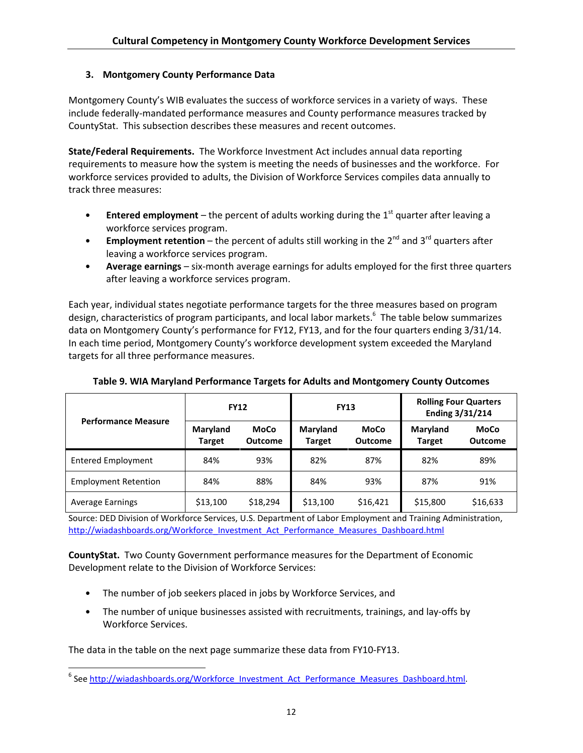## 3. Montgomery County Performance Data

Montgomery County's WIB evaluates the success of workforce services in a variety of ways. These include federally-mandated performance measures and County performance measures tracked by CountyStat. This subsection describes these measures and recent outcomes.

State/Federal Requirements. The Workforce Investment Act includes annual data reporting requirements to measure how the system is meeting the needs of businesses and the workforce. For workforce services provided to adults, the Division of Workforce Services compiles data annually to track three measures:

- **•** Entered employment the percent of adults working during the  $1<sup>st</sup>$  quarter after leaving a workforce services program.
- Employment retention the percent of adults still working in the  $2^{nd}$  and  $3^{rd}$  quarters after leaving a workforce services program.
- Average earnings six-month average earnings for adults employed for the first three quarters after leaving a workforce services program.

Each year, individual states negotiate performance targets for the three measures based on program design, characteristics of program participants, and local labor markets.<sup>6</sup> The table below summarizes data on Montgomery County's performance for FY12, FY13, and for the four quarters ending 3/31/14. In each time period, Montgomery County's workforce development system exceeded the Maryland targets for all three performance measures.

| Table 9. WIA Maryland Performance Targets for Adults and Montgomery County Outcomes |  |
|-------------------------------------------------------------------------------------|--|
|                                                                                     |  |

| <b>Performance Measure</b>  | <b>FY12</b>               |                               | <b>FY13</b>               |                        | <b>Rolling Four Quarters</b><br>Ending 3/31/214 |                        |
|-----------------------------|---------------------------|-------------------------------|---------------------------|------------------------|-------------------------------------------------|------------------------|
|                             | Maryland<br><b>Target</b> | <b>MoCo</b><br><b>Outcome</b> | Maryland<br><b>Target</b> | MoCo<br><b>Outcome</b> | Maryland<br><b>Target</b>                       | MoCo<br><b>Outcome</b> |
| <b>Entered Employment</b>   | 84%                       | 93%                           | 82%                       | 87%                    | 82%                                             | 89%                    |
| <b>Employment Retention</b> | 84%                       | 88%                           | 84%                       | 93%                    | 87%                                             | 91%                    |
| <b>Average Earnings</b>     | \$13,100                  | \$18,294                      | \$13,100                  | \$16,421               | \$15,800                                        | \$16,633               |

Source: DED Division of Workforce Services, U.S. Department of Labor Employment and Training Administration, http://wiadashboards.org/Workforce\_Investment\_Act\_Performance\_Measures\_Dashboard.html

CountyStat. Two County Government performance measures for the Department of Economic Development relate to the Division of Workforce Services:

- The number of job seekers placed in jobs by Workforce Services, and
- The number of unique businesses assisted with recruitments, trainings, and lay-offs by Workforce Services.

The data in the table on the next page summarize these data from FY10-FY13.

 $\overline{a}$ 

<sup>&</sup>lt;sup>6</sup> See http://wiadashboards.org/Workforce\_Investment\_Act\_Performance\_Measures\_Dashboard.html.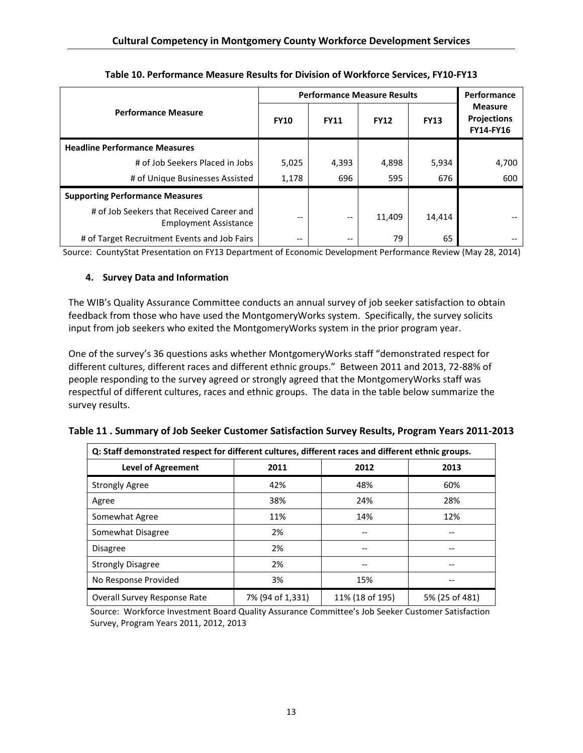|                                                                           | <b>Performance Measure Results</b> | Performance |             |             |                                                   |
|---------------------------------------------------------------------------|------------------------------------|-------------|-------------|-------------|---------------------------------------------------|
| <b>Performance Measure</b>                                                | <b>FY10</b>                        | <b>FY11</b> | <b>FY12</b> | <b>FY13</b> | <b>Measure</b><br><b>Projections</b><br>FY14-FY16 |
| <b>Headline Performance Measures</b>                                      |                                    |             |             |             |                                                   |
| # of Job Seekers Placed in Jobs                                           | 5,025                              | 4,393       | 4,898       | 5,934       | 4,700                                             |
| # of Unique Businesses Assisted                                           | 1,178                              | 696         | 595         | 676         | 600                                               |
| <b>Supporting Performance Measures</b>                                    |                                    |             |             |             |                                                   |
| # of Job Seekers that Received Career and<br><b>Employment Assistance</b> | $- -$                              |             | 11,409      | 14,414      |                                                   |
| # of Target Recruitment Events and Job Fairs                              | --                                 | $- -$       | 79          | 65          |                                                   |

Table 10. Performance Measure Results for Division of Workforce Services, FY10-FY13

Source: CountyStat Presentation on FY13 Department of Economic Development Performance Review (May 28, 2014)

# 4. Survey Data and Information

The WIB's Quality Assurance Committee conducts an annual survey of job seeker satisfaction to obtain feedback from those who have used the MontgomeryWorks system. Specifically, the survey solicits input from job seekers who exited the MontgomeryWorks system in the prior program year.

One of the survey's 36 questions asks whether MontgomeryWorks staff "demonstrated respect for different cultures, different races and different ethnic groups." Between 2011 and 2013, 72-88% of people responding to the survey agreed or strongly agreed that the MontgomeryWorks staff was respectful of different cultures, races and ethnic groups. The data in the table below summarize the survey results.

| Q: Staff demonstrated respect for different cultures, different races and different ethnic groups. |                  |                 |                |
|----------------------------------------------------------------------------------------------------|------------------|-----------------|----------------|
| <b>Level of Agreement</b>                                                                          | 2011             | 2012            | 2013           |
| <b>Strongly Agree</b>                                                                              | 42%              | 48%             | 60%            |
| Agree                                                                                              | 38%              | 24%             | 28%            |
| Somewhat Agree                                                                                     | 11%              | 14%             | 12%            |
| Somewhat Disagree                                                                                  | 2%               |                 |                |
| <b>Disagree</b>                                                                                    | 2%               |                 |                |
| <b>Strongly Disagree</b>                                                                           | 2%               |                 |                |
| No Response Provided                                                                               | 3%               | 15%             |                |
| Overall Survey Response Rate                                                                       | 7% (94 of 1,331) | 11% (18 of 195) | 5% (25 of 481) |

Table 11 . Summary of Job Seeker Customer Satisfaction Survey Results, Program Years 2011-2013

Source: Workforce Investment Board Quality Assurance Committee's Job Seeker Customer Satisfaction Survey, Program Years 2011, 2012, 2013